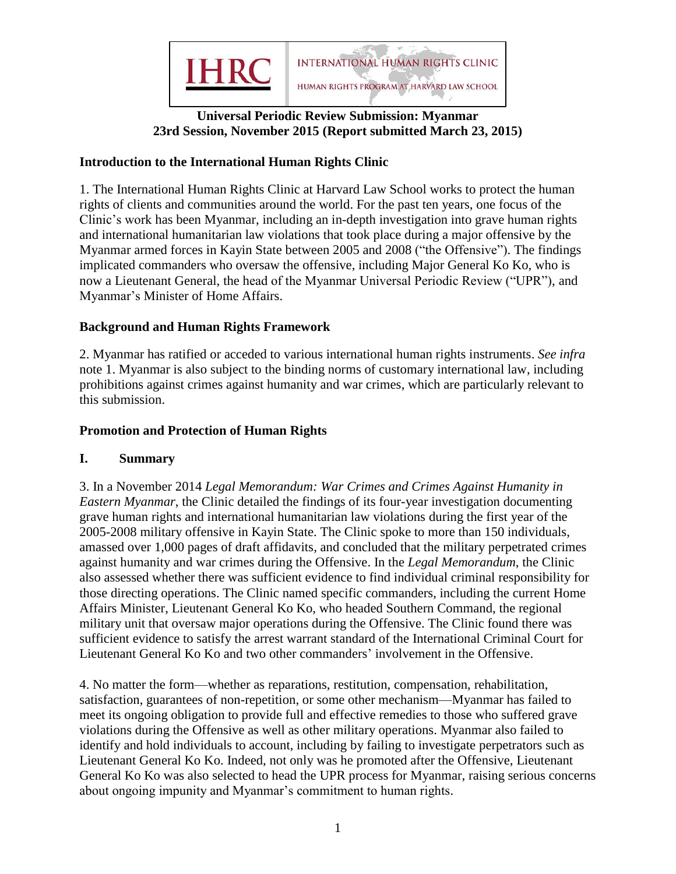

# **Universal Periodic Review Submission: Myanmar 23rd Session, November 2015 (Report submitted March 23, 2015)**

### **Introduction to the International Human Rights Clinic**

1. The International Human Rights Clinic at Harvard Law School works to protect the human rights of clients and communities around the world. For the past ten years, one focus of the Clinic's work has been Myanmar, including an in-depth investigation into grave human rights and international humanitarian law violations that took place during a major offensive by the Myanmar armed forces in Kayin State between 2005 and 2008 ("the Offensive"). The findings implicated commanders who oversaw the offensive, including Major General Ko Ko, who is now a Lieutenant General, the head of the Myanmar Universal Periodic Review ("UPR"), and Myanmar's Minister of Home Affairs.

### **Background and Human Rights Framework**

2. Myanmar has ratified or acceded to various international human rights instruments. *See infra* note 1. Myanmar is also subject to the binding norms of customary international law, including prohibitions against crimes against humanity and war crimes, which are particularly relevant to this submission.

## **Promotion and Protection of Human Rights**

### **I. Summary**

3. In a November 2014 *Legal Memorandum: War Crimes and Crimes Against Humanity in Eastern Myanmar*, the Clinic detailed the findings of its four-year investigation documenting grave human rights and international humanitarian law violations during the first year of the 2005-2008 military offensive in Kayin State. The Clinic spoke to more than 150 individuals, amassed over 1,000 pages of draft affidavits, and concluded that the military perpetrated crimes against humanity and war crimes during the Offensive. In the *Legal Memorandum*, the Clinic also assessed whether there was sufficient evidence to find individual criminal responsibility for those directing operations. The Clinic named specific commanders, including the current Home Affairs Minister, Lieutenant General Ko Ko, who headed Southern Command, the regional military unit that oversaw major operations during the Offensive. The Clinic found there was sufficient evidence to satisfy the arrest warrant standard of the International Criminal Court for Lieutenant General Ko Ko and two other commanders' involvement in the Offensive.

4. No matter the form—whether as reparations, restitution, compensation, rehabilitation, satisfaction, guarantees of non-repetition, or some other mechanism—Myanmar has failed to meet its ongoing obligation to provide full and effective remedies to those who suffered grave violations during the Offensive as well as other military operations. Myanmar also failed to identify and hold individuals to account, including by failing to investigate perpetrators such as Lieutenant General Ko Ko. Indeed, not only was he promoted after the Offensive, Lieutenant General Ko Ko was also selected to head the UPR process for Myanmar, raising serious concerns about ongoing impunity and Myanmar's commitment to human rights.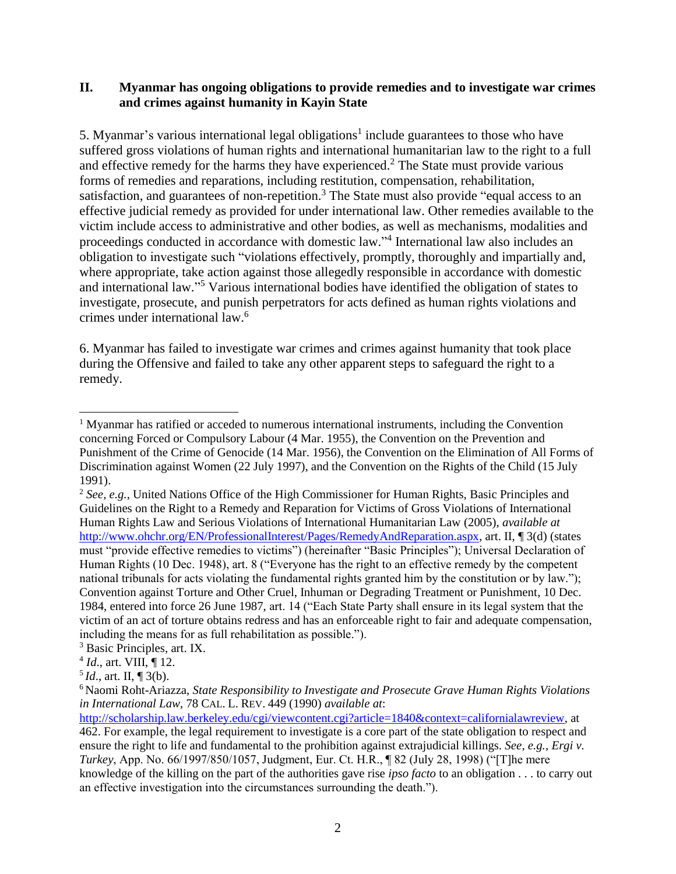#### **II. Myanmar has ongoing obligations to provide remedies and to investigate war crimes and crimes against humanity in Kayin State**

5. Myanmar's various international legal obligations<sup>1</sup> include guarantees to those who have suffered gross violations of human rights and international humanitarian law to the right to a full and effective remedy for the harms they have experienced.<sup>2</sup> The State must provide various forms of remedies and reparations, including restitution, compensation, rehabilitation, satisfaction, and guarantees of non-repetition.<sup>3</sup> The State must also provide "equal access to an effective judicial remedy as provided for under international law. Other remedies available to the victim include access to administrative and other bodies, as well as mechanisms, modalities and proceedings conducted in accordance with domestic law." 4 International law also includes an obligation to investigate such "violations effectively, promptly, thoroughly and impartially and, where appropriate, take action against those allegedly responsible in accordance with domestic and international law." <sup>5</sup> Various international bodies have identified the obligation of states to investigate, prosecute, and punish perpetrators for acts defined as human rights violations and crimes under international law.<sup>6</sup>

6. Myanmar has failed to investigate war crimes and crimes against humanity that took place during the Offensive and failed to take any other apparent steps to safeguard the right to a remedy.

 <sup>1</sup> Myanmar has ratified or acceded to numerous international instruments, including the Convention concerning Forced or Compulsory Labour (4 Mar. 1955), the Convention on the Prevention and Punishment of the Crime of Genocide (14 Mar. 1956), the Convention on the Elimination of All Forms of Discrimination against Women (22 July 1997), and the Convention on the Rights of the Child (15 July 1991).

<sup>2</sup> *See, e.g.*, United Nations Office of the High Commissioner for Human Rights, Basic Principles and Guidelines on the Right to a Remedy and Reparation for Victims of Gross Violations of International Human Rights Law and Serious Violations of International Humanitarian Law (2005), *available at* [http://www.ohchr.org/EN/ProfessionalInterest/Pages/RemedyAndReparation.aspx,](http://www.ohchr.org/EN/ProfessionalInterest/Pages/RemedyAndReparation.aspx) art. II, ¶ 3(d) (states must "provide effective remedies to victims") (hereinafter "Basic Principles"); Universal Declaration of Human Rights (10 Dec. 1948), art. 8 ("Everyone has the right to an effective remedy by the competent national tribunals for acts violating the fundamental rights granted him by the constitution or by law."); Convention against Torture and Other Cruel, Inhuman or Degrading Treatment or Punishment, 10 Dec. 1984, entered into force 26 June 1987, art. 14 ("Each State Party shall ensure in its legal system that the victim of an act of torture obtains redress and has an enforceable right to fair and adequate compensation, including the means for as full rehabilitation as possible.").

<sup>3</sup> Basic Principles, art. IX.

<sup>4</sup> *Id*., art. VIII, ¶ 12.

 $^{5}$ *Id.*, art. II, ¶ 3(b).

<sup>6</sup> Naomi Roht-Ariazza, *State Responsibility to Investigate and Prosecute Grave Human Rights Violations in International Law*, 78 CAL. L. REV. 449 (1990) *available at*:

[http://scholarship.law.berkeley.edu/cgi/viewcontent.cgi?article=1840&context=californialawreview,](http://scholarship.law.berkeley.edu/cgi/viewcontent.cgi?article=1840&context=californialawreview) at 462. For example, the legal requirement to investigate is a core part of the state obligation to respect and ensure the right to life and fundamental to the prohibition against extrajudicial killings. *See, e.g.*, *Ergi v. Turkey*, App. No. 66/1997/850/1057, Judgment, Eur. Ct. H.R., ¶ 82 (July 28, 1998) ("[T]he mere knowledge of the killing on the part of the authorities gave rise *ipso facto* to an obligation . . . to carry out an effective investigation into the circumstances surrounding the death.").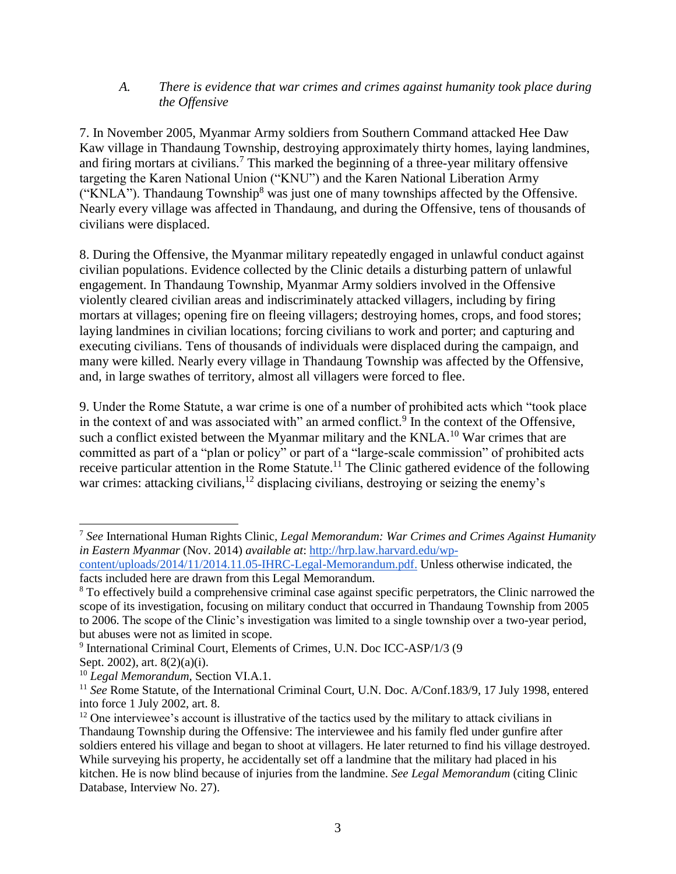#### *A. There is evidence that war crimes and crimes against humanity took place during the Offensive*

7. In November 2005, Myanmar Army soldiers from Southern Command attacked Hee Daw Kaw village in Thandaung Township, destroying approximately thirty homes, laying landmines, and firing mortars at civilians.<sup>7</sup> This marked the beginning of a three-year military offensive targeting the Karen National Union ("KNU") and the Karen National Liberation Army ("KNLA"). Thandaung Township<sup>8</sup> was just one of many townships affected by the Offensive. Nearly every village was affected in Thandaung, and during the Offensive, tens of thousands of civilians were displaced.

8. During the Offensive, the Myanmar military repeatedly engaged in unlawful conduct against civilian populations. Evidence collected by the Clinic details a disturbing pattern of unlawful engagement. In Thandaung Township, Myanmar Army soldiers involved in the Offensive violently cleared civilian areas and indiscriminately attacked villagers, including by firing mortars at villages; opening fire on fleeing villagers; destroying homes, crops, and food stores; laying landmines in civilian locations; forcing civilians to work and porter; and capturing and executing civilians. Tens of thousands of individuals were displaced during the campaign, and many were killed. Nearly every village in Thandaung Township was affected by the Offensive, and, in large swathes of territory, almost all villagers were forced to flee.

9. Under the Rome Statute, a war crime is one of a number of prohibited acts which "took place in the context of and was associated with" an armed conflict. $9$  In the context of the Offensive, such a conflict existed between the Myanmar military and the KNLA.<sup>10</sup> War crimes that are committed as part of a "plan or policy" or part of a "large-scale commission" of prohibited acts receive particular attention in the Rome Statute.<sup>11</sup> The Clinic gathered evidence of the following war crimes: attacking civilians,  $12$  displacing civilians, destroying or seizing the enemy's

 $\overline{a}$ 

<sup>7</sup> *See* International Human Rights Clinic*, Legal Memorandum: War Crimes and Crimes Against Humanity in Eastern Myanmar* (Nov. 2014) *available at*: [http://hrp.law.harvard.edu/wp-](http://hrp.law.harvard.edu/wp-content/uploads/2014/11/2014.11.05-IHRC-Legal-Memorandum.pdf)

[content/uploads/2014/11/2014.11.05-IHRC-Legal-Memorandum.pdf.](http://hrp.law.harvard.edu/wp-content/uploads/2014/11/2014.11.05-IHRC-Legal-Memorandum.pdf) Unless otherwise indicated, the facts included here are drawn from this Legal Memorandum.

<sup>&</sup>lt;sup>8</sup> To effectively build a comprehensive criminal case against specific perpetrators, the Clinic narrowed the scope of its investigation, focusing on military conduct that occurred in Thandaung Township from 2005 to 2006. The scope of the Clinic's investigation was limited to a single township over a two-year period, but abuses were not as limited in scope.

<sup>&</sup>lt;sup>9</sup> International Criminal Court, Elements of Crimes, U.N. Doc ICC-ASP/1/3 (9 Sept. 2002), art. 8(2)(a)(i).

<sup>10</sup> *Legal Memorandum*, Section VI.A.1.

<sup>&</sup>lt;sup>11</sup> See Rome Statute, of the International Criminal Court, U.N. Doc. A/Conf.183/9, 17 July 1998, entered into force 1 July 2002, art. 8.

 $12$  One interviewee's account is illustrative of the tactics used by the military to attack civilians in Thandaung Township during the Offensive: The interviewee and his family fled under gunfire after soldiers entered his village and began to shoot at villagers. He later returned to find his village destroyed. While surveying his property, he accidentally set off a landmine that the military had placed in his kitchen. He is now blind because of injuries from the landmine. *See Legal Memorandum* (citing Clinic Database, Interview No. 27).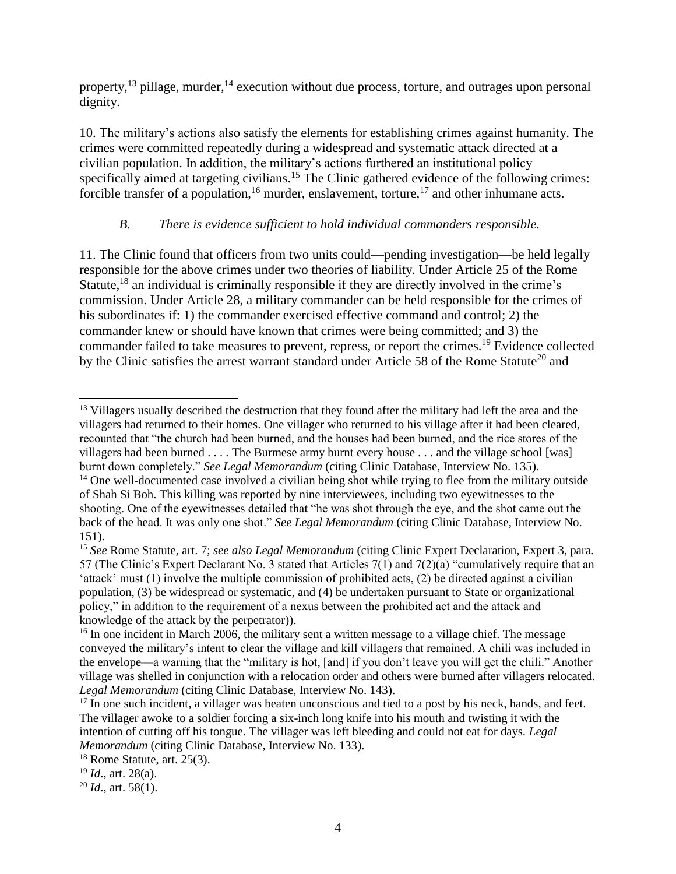property,  $^{13}$  pillage, murder,  $^{14}$  execution without due process, torture, and outrages upon personal dignity.

10. The military's actions also satisfy the elements for establishing crimes against humanity. The crimes were committed repeatedly during a widespread and systematic attack directed at a civilian population. In addition, the military's actions furthered an institutional policy specifically aimed at targeting civilians.<sup>15</sup> The Clinic gathered evidence of the following crimes: forcible transfer of a population,<sup>16</sup> murder, enslavement, torture,<sup>17</sup> and other inhumane acts.

# *B. There is evidence sufficient to hold individual commanders responsible.*

11. The Clinic found that officers from two units could—pending investigation—be held legally responsible for the above crimes under two theories of liability. Under Article 25 of the Rome Statute,<sup>18</sup> an individual is criminally responsible if they are directly involved in the crime's commission. Under Article 28, a military commander can be held responsible for the crimes of his subordinates if: 1) the commander exercised effective command and control; 2) the commander knew or should have known that crimes were being committed; and 3) the commander failed to take measures to prevent, repress, or report the crimes.<sup>19</sup> Evidence collected by the Clinic satisfies the arrest warrant standard under Article 58 of the Rome Statute<sup>20</sup> and

 <sup>13</sup> Villagers usually described the destruction that they found after the military had left the area and the villagers had returned to their homes. One villager who returned to his village after it had been cleared, recounted that "the church had been burned, and the houses had been burned, and the rice stores of the villagers had been burned . . . . The Burmese army burnt every house . . . and the village school [was] burnt down completely." *See Legal Memorandum* (citing Clinic Database, Interview No. 135).

<sup>&</sup>lt;sup>14</sup> One well-documented case involved a civilian being shot while trying to flee from the military outside of Shah Si Boh. This killing was reported by nine interviewees, including two eyewitnesses to the shooting. One of the eyewitnesses detailed that "he was shot through the eye, and the shot came out the back of the head. It was only one shot." *See Legal Memorandum* (citing Clinic Database, Interview No. 151).

<sup>15</sup> *See* Rome Statute, art. 7; *see also Legal Memorandum* (citing Clinic Expert Declaration, Expert 3, para. 57 (The Clinic's Expert Declarant No. 3 stated that Articles 7(1) and 7(2)(a) "cumulatively require that an 'attack' must (1) involve the multiple commission of prohibited acts, (2) be directed against a civilian population, (3) be widespread or systematic, and (4) be undertaken pursuant to State or organizational policy," in addition to the requirement of a nexus between the prohibited act and the attack and knowledge of the attack by the perpetrator)).

<sup>&</sup>lt;sup>16</sup> In one incident in March 2006, the military sent a written message to a village chief. The message conveyed the military's intent to clear the village and kill villagers that remained. A chili was included in the envelope—a warning that the "military is hot, [and] if you don't leave you will get the chili." Another village was shelled in conjunction with a relocation order and others were burned after villagers relocated. *Legal Memorandum* (citing Clinic Database, Interview No. 143).

<sup>&</sup>lt;sup>17</sup> In one such incident, a villager was beaten unconscious and tied to a post by his neck, hands, and feet. The villager awoke to a soldier forcing a six-inch long knife into his mouth and twisting it with the intention of cutting off his tongue. The villager was left bleeding and could not eat for days. *Legal Memorandum* (citing Clinic Database, Interview No. 133).

 $18$  Rome Statute, art. 25(3).

<sup>19</sup> *Id*., art. 28(a).

<sup>20</sup> *Id*., art. 58(1).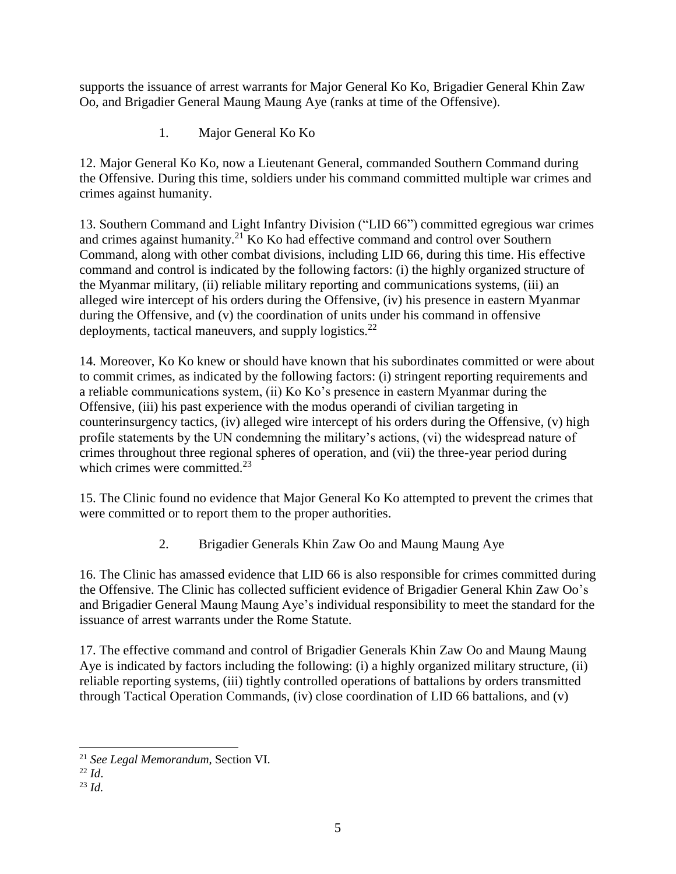supports the issuance of arrest warrants for Major General Ko Ko, Brigadier General Khin Zaw Oo, and Brigadier General Maung Maung Aye (ranks at time of the Offensive).

1. Major General Ko Ko

12. Major General Ko Ko, now a Lieutenant General, commanded Southern Command during the Offensive. During this time, soldiers under his command committed multiple war crimes and crimes against humanity.

13. Southern Command and Light Infantry Division ("LID 66") committed egregious war crimes and crimes against humanity.<sup>21</sup> Ko Ko had effective command and control over Southern Command, along with other combat divisions, including LID 66, during this time. His effective command and control is indicated by the following factors: (i) the highly organized structure of the Myanmar military, (ii) reliable military reporting and communications systems, (iii) an alleged wire intercept of his orders during the Offensive, (iv) his presence in eastern Myanmar during the Offensive, and (v) the coordination of units under his command in offensive deployments, tactical maneuvers, and supply logistics. $22$ 

14. Moreover, Ko Ko knew or should have known that his subordinates committed or were about to commit crimes, as indicated by the following factors: (i) stringent reporting requirements and a reliable communications system, (ii) Ko Ko's presence in eastern Myanmar during the Offensive, (iii) his past experience with the modus operandi of civilian targeting in counterinsurgency tactics, (iv) alleged wire intercept of his orders during the Offensive, (v) high profile statements by the UN condemning the military's actions, (vi) the widespread nature of crimes throughout three regional spheres of operation, and (vii) the three-year period during which crimes were committed. $23$ 

15. The Clinic found no evidence that Major General Ko Ko attempted to prevent the crimes that were committed or to report them to the proper authorities.

2. Brigadier Generals Khin Zaw Oo and Maung Maung Aye

16. The Clinic has amassed evidence that LID 66 is also responsible for crimes committed during the Offensive. The Clinic has collected sufficient evidence of Brigadier General Khin Zaw Oo's and Brigadier General Maung Maung Aye's individual responsibility to meet the standard for the issuance of arrest warrants under the Rome Statute.

17. The effective command and control of Brigadier Generals Khin Zaw Oo and Maung Maung Aye is indicated by factors including the following: (i) a highly organized military structure, (ii) reliable reporting systems, (iii) tightly controlled operations of battalions by orders transmitted through Tactical Operation Commands, (iv) close coordination of LID 66 battalions, and (v)

 <sup>21</sup> *See Legal Memorandum*, Section VI.

<sup>22</sup> *Id*.

 $^{23}$  *Id.*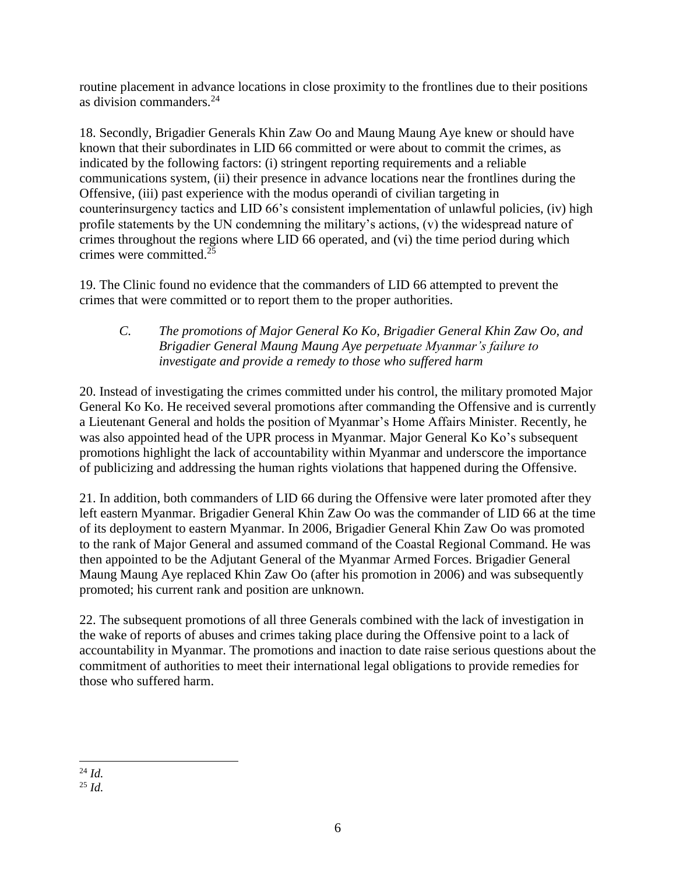routine placement in advance locations in close proximity to the frontlines due to their positions as division commanders.<sup>24</sup>

18. Secondly, Brigadier Generals Khin Zaw Oo and Maung Maung Aye knew or should have known that their subordinates in LID 66 committed or were about to commit the crimes, as indicated by the following factors: (i) stringent reporting requirements and a reliable communications system, (ii) their presence in advance locations near the frontlines during the Offensive, (iii) past experience with the modus operandi of civilian targeting in counterinsurgency tactics and LID 66's consistent implementation of unlawful policies, (iv) high profile statements by the UN condemning the military's actions, (v) the widespread nature of crimes throughout the regions where LID 66 operated, and (vi) the time period during which crimes were committed.<sup>25</sup>

19. The Clinic found no evidence that the commanders of LID 66 attempted to prevent the crimes that were committed or to report them to the proper authorities.

*C. The promotions of Major General Ko Ko, Brigadier General Khin Zaw Oo, and Brigadier General Maung Maung Aye perpetuate Myanmar's failure to investigate and provide a remedy to those who suffered harm*

20. Instead of investigating the crimes committed under his control, the military promoted Major General Ko Ko. He received several promotions after commanding the Offensive and is currently a Lieutenant General and holds the position of Myanmar's Home Affairs Minister. Recently, he was also appointed head of the UPR process in Myanmar. Major General Ko Ko's subsequent promotions highlight the lack of accountability within Myanmar and underscore the importance of publicizing and addressing the human rights violations that happened during the Offensive.

21. In addition, both commanders of LID 66 during the Offensive were later promoted after they left eastern Myanmar. Brigadier General Khin Zaw Oo was the commander of LID 66 at the time of its deployment to eastern Myanmar. In 2006, Brigadier General Khin Zaw Oo was promoted to the rank of Major General and assumed command of the Coastal Regional Command. He was then appointed to be the Adjutant General of the Myanmar Armed Forces. Brigadier General Maung Maung Aye replaced Khin Zaw Oo (after his promotion in 2006) and was subsequently promoted; his current rank and position are unknown.

22. The subsequent promotions of all three Generals combined with the lack of investigation in the wake of reports of abuses and crimes taking place during the Offensive point to a lack of accountability in Myanmar. The promotions and inaction to date raise serious questions about the commitment of authorities to meet their international legal obligations to provide remedies for those who suffered harm.

 <sup>24</sup> *Id.*

<sup>25</sup> *Id.*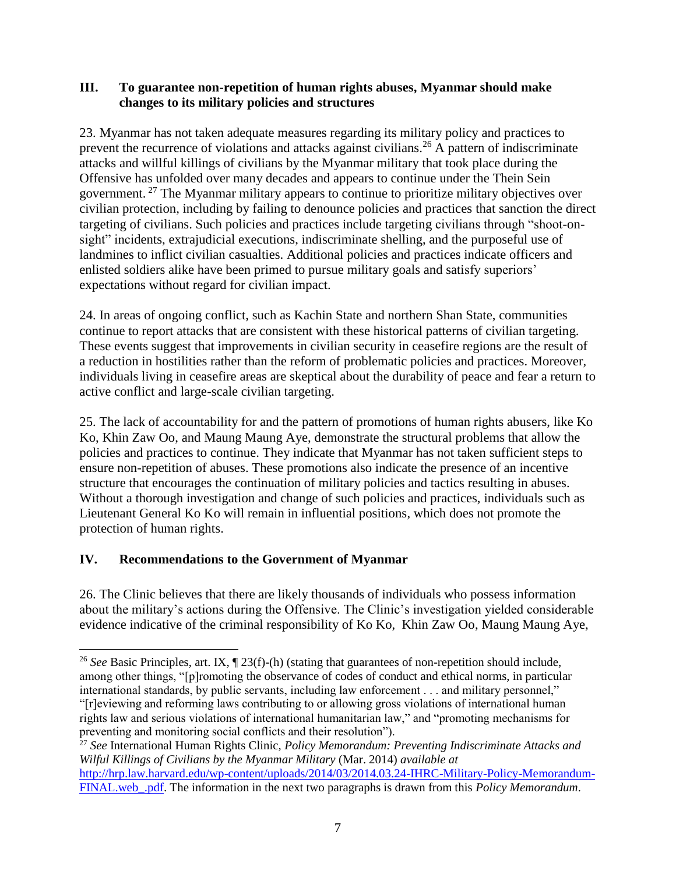#### **III. To guarantee non-repetition of human rights abuses, Myanmar should make changes to its military policies and structures**

23. Myanmar has not taken adequate measures regarding its military policy and practices to prevent the recurrence of violations and attacks against civilians.<sup>26</sup> A pattern of indiscriminate attacks and willful killings of civilians by the Myanmar military that took place during the Offensive has unfolded over many decades and appears to continue under the Thein Sein government. <sup>27</sup> The Myanmar military appears to continue to prioritize military objectives over civilian protection, including by failing to denounce policies and practices that sanction the direct targeting of civilians. Such policies and practices include targeting civilians through "shoot-onsight" incidents, extrajudicial executions, indiscriminate shelling, and the purposeful use of landmines to inflict civilian casualties. Additional policies and practices indicate officers and enlisted soldiers alike have been primed to pursue military goals and satisfy superiors' expectations without regard for civilian impact.

24. In areas of ongoing conflict, such as Kachin State and northern Shan State, communities continue to report attacks that are consistent with these historical patterns of civilian targeting. These events suggest that improvements in civilian security in ceasefire regions are the result of a reduction in hostilities rather than the reform of problematic policies and practices. Moreover, individuals living in ceasefire areas are skeptical about the durability of peace and fear a return to active conflict and large-scale civilian targeting.

25. The lack of accountability for and the pattern of promotions of human rights abusers, like Ko Ko, Khin Zaw Oo, and Maung Maung Aye, demonstrate the structural problems that allow the policies and practices to continue. They indicate that Myanmar has not taken sufficient steps to ensure non-repetition of abuses. These promotions also indicate the presence of an incentive structure that encourages the continuation of military policies and tactics resulting in abuses. Without a thorough investigation and change of such policies and practices, individuals such as Lieutenant General Ko Ko will remain in influential positions, which does not promote the protection of human rights.

# **IV. Recommendations to the Government of Myanmar**

 $\overline{a}$ 

26. The Clinic believes that there are likely thousands of individuals who possess information about the military's actions during the Offensive. The Clinic's investigation yielded considerable evidence indicative of the criminal responsibility of Ko Ko, Khin Zaw Oo, Maung Maung Aye,

<sup>&</sup>lt;sup>26</sup> See Basic Principles, art. IX, ¶ 23(f)-(h) (stating that guarantees of non-repetition should include, among other things, "[p]romoting the observance of codes of conduct and ethical norms, in particular international standards, by public servants, including law enforcement . . . and military personnel," "[r]eviewing and reforming laws contributing to or allowing gross violations of international human rights law and serious violations of international humanitarian law," and "promoting mechanisms for preventing and monitoring social conflicts and their resolution").

<sup>27</sup> *See* International Human Rights Clinic, *Policy Memorandum: Preventing Indiscriminate Attacks and Wilful Killings of Civilians by the Myanmar Military* (Mar. 2014) *available at* [http://hrp.law.harvard.edu/wp-content/uploads/2014/03/2014.03.24-IHRC-Military-Policy-Memorandum-](http://hrp.law.harvard.edu/wp-content/uploads/2014/03/2014.03.24-IHRC-Military-Policy-Memorandum-FINAL.web_.pdf)[FINAL.web\\_.pdf.](http://hrp.law.harvard.edu/wp-content/uploads/2014/03/2014.03.24-IHRC-Military-Policy-Memorandum-FINAL.web_.pdf) The information in the next two paragraphs is drawn from this *Policy Memorandum*.